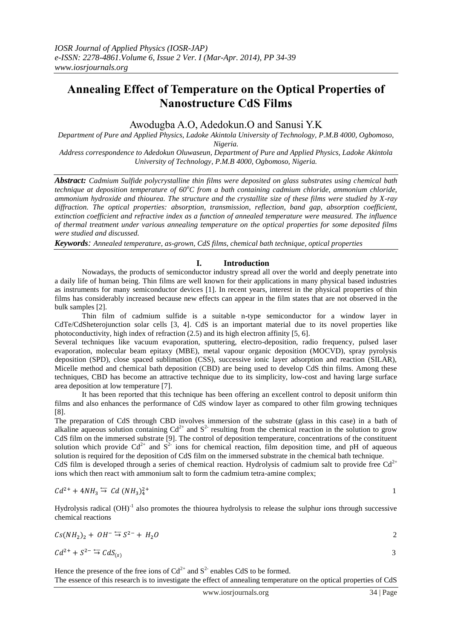# **Annealing Effect of Temperature on the Optical Properties of Nanostructure CdS Films**

## Awodugba A.O, Adedokun.O and Sanusi Y.K

*Department of Pure and Applied Physics, Ladoke Akintola University of Technology, P.M.B 4000, Ogbomoso, Nigeria.*

*Address correspondence to Adedokun Oluwaseun, Department of Pure and Applied Physics, Ladoke Akintola University of Technology, P.M.B 4000, Ogbomoso, Nigeria.* 

*Abstract: Cadmium Sulfide polycrystalline thin films were deposited on glass substrates using chemical bath technique at deposition temperature of 60<sup>o</sup>C from a bath containing cadmium chloride, ammonium chloride, ammonium hydroxide and thiourea. The structure and the crystallite size of these films were studied by X-ray diffraction. The optical properties: absorption, transmission, reflection, band gap, absorption coefficient, extinction coefficient and refractive index as a function of annealed temperature were measured. The influence of thermal treatment under various annealing temperature on the optical properties for some deposited films were studied and discussed.*

*Keywords: Annealed temperature, as-grown, CdS films, chemical bath technique, optical properties*

### **I. Introduction**

Nowadays, the products of semiconductor industry spread all over the world and deeply penetrate into a daily life of human being. Thin films are well known for their applications in many physical based industries as instruments for many semiconductor devices [1]. In recent years, interest in the physical properties of thin films has considerably increased because new effects can appear in the film states that are not observed in the bulk samples [2].

Thin film of cadmium sulfide is a suitable n-type semiconductor for a window layer in CdTe/CdSheterojunction solar cells [3, 4]. CdS is an important material due to its novel properties like photoconductivity, high index of refraction (2.5) and its high electron affinity [5, 6].

Several techniques like vacuum evaporation, sputtering, electro-deposition, radio frequency, pulsed laser evaporation, molecular beam epitaxy (MBE), metal vapour organic deposition (MOCVD), spray pyrolysis deposition (SPD), close spaced sublimation (CSS), successive ionic layer adsorption and reaction (SILAR), Micelle method and chemical bath deposition (CBD) are being used to develop CdS thin films. Among these techniques, CBD has become an attractive technique due to its simplicity, low-cost and having large surface area deposition at low temperature [7].

It has been reported that this technique has been offering an excellent control to deposit uniform thin films and also enhances the performance of CdS window layer as compared to other film growing techniques [8].

The preparation of CdS through CBD involves immersion of the substrate (glass in this case) in a bath of alkaline aqueous solution containing  $Cd^{2+}$  and  $S^2$  resulting from the chemical reaction in the solution to grow CdS film on the immersed substrate [9]. The control of deposition temperature, concentrations of the constituent solution which provide  $Cd^{2+}$  and  $S^{2-}$  ions for chemical reaction, film deposition time, and pH of aqueous solution is required for the deposition of CdS film on the immersed substrate in the chemical bath technique. CdS film is developed through a series of chemical reaction. Hydrolysis of cadmium salt to provide free  $Cd^{2+}$ ions which then react with ammonium salt to form the cadmium tetra-amine complex;

$$
Cd^{2+} + 4NH_3 \stackrel{\leftharpoonup}{\rightarrow} Cd\left(NH_3\right)_4^{2+}
$$

Hydrolysis radical  $(OH)^{-1}$  also promotes the thiourea hydrolysis to release the sulphur ions through successive chemical reactions

$$
Cs(NH2)2 + OH- = S2- + H2O
$$

$$
Cd^{2+} + S^{2-} \stackrel{\leftharpoonup}{\to} CdS_{(s)}
$$

Hence the presence of the free ions of  $Cd^{2+}$  and  $S^2$  enables CdS to be formed. The essence of this research is to investigate the effect of annealing temperature on the optical properties of CdS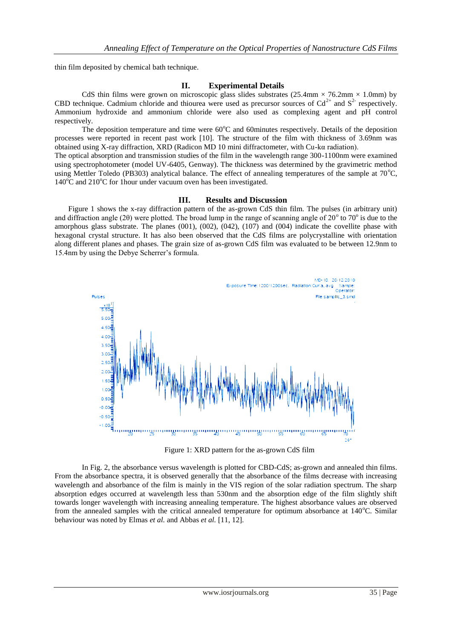thin film deposited by chemical bath technique.

#### **II. Experimental Details**

CdS thin films were grown on microscopic glass slides substrates (25.4mm  $\times$  76.2mm  $\times$  1.0mm) by CBD technique. Cadmium chloride and thiourea were used as precursor sources of  $Cd^{2+}$  and  $S^{2-}$  respectively. Ammonium hydroxide and ammonium chloride were also used as complexing agent and pH control respectively.

The deposition temperature and time were  $60^{\circ}$ C and 60minutes respectively. Details of the deposition processes were reported in recent past work [10]. The structure of the film with thickness of 3.69nm was obtained using X-ray diffraction, XRD (Radicon MD 10 mini diffractometer, with Cu-kα radiation).

The optical absorption and transmission studies of the film in the wavelength range 300-1100nm were examined using spectrophotometer (model UV-6405, Genway). The thickness was determined by the gravimetric method using Mettler Toledo (PB303) analytical balance. The effect of annealing temperatures of the sample at  $70^{\circ}$ C,  $140^{\circ}$ C and  $210^{\circ}$ C for 1 hour under vacuum oven has been investigated.

#### **III. Results and Discussion**

Figure 1 shows the x-ray diffraction pattern of the as-grown CdS thin film. The pulses (in arbitrary unit) and diffraction angle (20) were plotted. The broad lump in the range of scanning angle of  $20^{\circ}$  to  $70^{\circ}$  is due to the amorphous glass substrate. The planes (001), (002), (042), (107) and (004) indicate the covellite phase with hexagonal crystal structure. It has also been observed that the CdS films are polycrystalline with orientation along different planes and phases. The grain size of as-grown CdS film was evaluated to be between 12.9nm to 15.4nm by using the Debye Scherrer's formula.



Figure 1: XRD pattern for the as-grown CdS film

In Fig. 2, the absorbance versus wavelength is plotted for CBD-CdS; as-grown and annealed thin films. From the absorbance spectra, it is observed generally that the absorbance of the films decrease with increasing wavelength and absorbance of the film is mainly in the VIS region of the solar radiation spectrum. The sharp absorption edges occurred at wavelength less than 530nm and the absorption edge of the film slightly shift towards longer wavelength with increasing annealing temperature. The highest absorbance values are observed from the annealed samples with the critical annealed temperature for optimum absorbance at  $140^{\circ}$ C. Similar behaviour was noted by Elmas *et al.* and Abbas *et al.* [11, 12].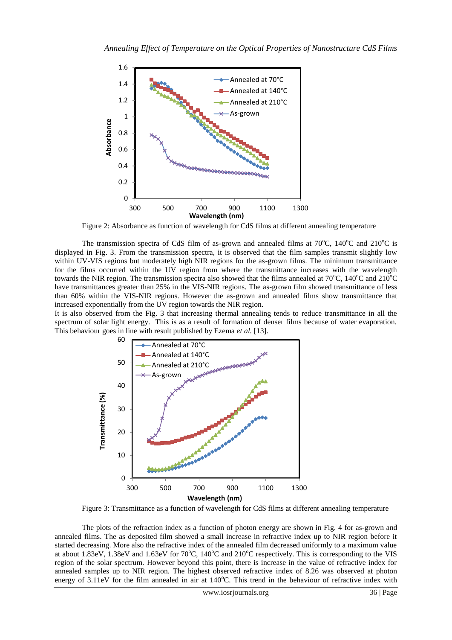

Figure 2: Absorbance as function of wavelength for CdS films at different annealing temperature

The transmission spectra of CdS film of as-grown and annealed films at  $70^{\circ}$ C,  $140^{\circ}$ C and  $210^{\circ}$ C is displayed in Fig. 3. From the transmission spectra, it is observed that the film samples transmit slightly low within UV-VIS regions but moderately high NIR regions for the as-grown films. The minimum transmittance for the films occurred within the UV region from where the transmittance increases with the wavelength towards the NIR region. The transmission spectra also showed that the films annealed at  $70^{\circ}$ C,  $140^{\circ}$ C and  $210^{\circ}$ C have transmittances greater than 25% in the VIS-NIR regions. The as-grown film showed transmittance of less than 60% within the VIS-NIR regions. However the as-grown and annealed films show transmittance that increased exponentially from the UV region towards the NIR region.

It is also observed from the Fig. 3 that increasing thermal annealing tends to reduce transmittance in all the spectrum of solar light energy. This is as a result of formation of denser films because of water evaporation. This behaviour goes in line with result published by Ezema *et al.* [13].



Figure 3: Transmittance as a function of wavelength for CdS films at different annealing temperature

The plots of the refraction index as a function of photon energy are shown in Fig. 4 for as-grown and annealed films. The as deposited film showed a small increase in refractive index up to NIR region before it started decreasing. More also the refractive index of the annealed film decreased uniformly to a maximum value at about 1.83eV, 1.38eV and 1.63eV for 70°C, 140°C and 210°C respectively. This is corresponding to the VIS region of the solar spectrum. However beyond this point, there is increase in the value of refractive index for annealed samples up to NIR region. The highest observed refractive index of 8.26 was observed at photon energy of  $3.11$ eV for the film annealed in air at  $140^{\circ}$ C. This trend in the behaviour of refractive index with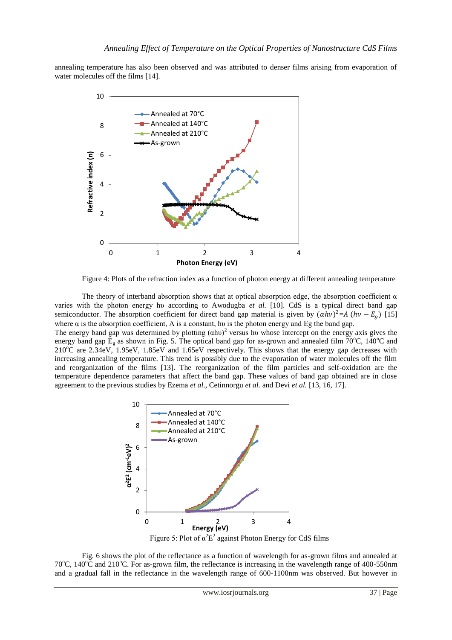annealing temperature has also been observed and was attributed to denser films arising from evaporation of water molecules off the films [14].



Figure 4: Plots of the refraction index as a function of photon energy at different annealing temperature

The theory of interband absorption shows that at optical absorption edge, the absorption coefficient  $\alpha$ varies with the photon energy hu according to Awodugba et al. [10]. CdS is a typical direct band gap semiconductor. The absorption coefficient for direct band gap material is given by  $(\alpha h v)^2 = A (h v - E_a)$  [15] where  $\alpha$  is the absorption coefficient, A is a constant, hv is the photon energy and Eg the band gap.

The energy band gap was determined by plotting  $(ahu)^2$  versus hu whose intercept on the energy axis gives the energy band gap  $E_g$  as shown in Fig. 5. The optical band gap for as-grown and annealed film 70°C, 140°C and  $210^{\circ}$ C are  $2.34$ eV,  $1.95$ eV,  $1.85$ eV and  $1.65$ eV respectively. This shows that the energy gap decreases with increasing annealing temperature. This trend is possibly due to the evaporation of water molecules off the film and reorganization of the films [13]. The reorganization of the film particles and self-oxidation are the temperature dependence parameters that affect the band gap. These values of band gap obtained are in close agreement to the previous studies by Ezema *et al*., Cetinnorgu *et al.* and Devi *et al.* [13, 16, 17].



Fig. 6 shows the plot of the reflectance as a function of wavelength for as-grown films and annealed at 70 $^{\circ}$ C, 140 $^{\circ}$ C and 210 $^{\circ}$ C. For as-grown film, the reflectance is increasing in the wavelength range of 400-550nm and a gradual fall in the reflectance in the wavelength range of 600-1100nm was observed. But however in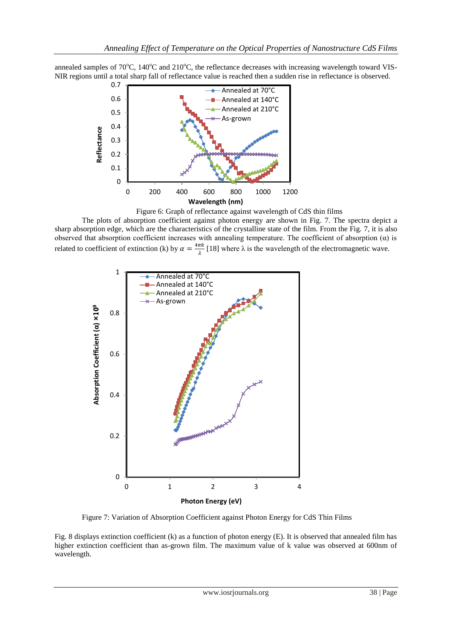annealed samples of 70 $^{\circ}$ C, 140 $^{\circ}$ C and 210 $^{\circ}$ C, the reflectance decreases with increasing wavelength toward VIS-NIR regions until a total sharp fall of reflectance value is reached then a sudden rise in reflectance is observed.



Figure 6: Graph of reflectance against wavelength of CdS thin films

The plots of absorption coefficient against photon energy are shown in Fig. 7. The spectra depict a sharp absorption edge, which are the characteristics of the crystalline state of the film. From the Fig. 7, it is also observed that absorption coefficient increases with annealing temperature. The coefficient of absorption (α) is related to coefficient of extinction (k) by  $\alpha = \frac{4}{3}$  $\frac{n\pi}{\lambda}$  [18] where  $\lambda$  is the wavelength of the electromagnetic wave.



Figure 7: Variation of Absorption Coefficient against Photon Energy for CdS Thin Films

Fig. 8 displays extinction coefficient (k) as a function of photon energy (E). It is observed that annealed film has higher extinction coefficient than as-grown film. The maximum value of k value was observed at 600nm of wavelength.